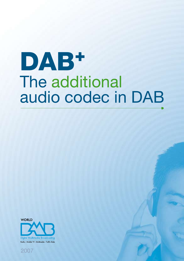# DAB<sup>+</sup> The additional audio codec in DAB

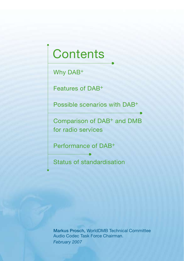## **Contents**

Why DAB+

Features of DAB+

Possible scenarios with DAB+

Comparison of DAB+ and DMB for radio services

Performance of DAB+

Status of standardisation

Markus Prosch, WorldDMB Technical Committee Audio Codec Task Force Chairman. *February 2007*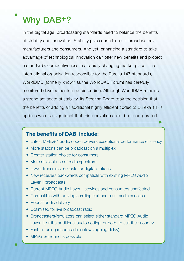### Why DAB+?

In the digital age, broadcasting standards need to balance the benefits of stability and innovation. Stability gives confidence to broadcasters, manufacturers and consumers. And yet, enhancing a standard to take advantage of technological innovation can offer new benefits and protect a standard's competitiveness in a rapidly changing market place. The international organisation responsible for the Eureka 147 standards, WorldDMB (formerly known as the WorldDAB Forum) has carefully monitored developments in audio coding. Although WorldDMB remains a strong advocate of stability, its Steering Board took the decision that the benefits of adding an additional highly efficient codec to Eureka 147's options were so significant that this innovation should be incorporated.

#### **The benefits of DAB+ include:**

- Latest MPEG-4 audio codec delivers exceptional performance efficiency
- More stations can be broadcast on a multiplex
- Greater station choice for consumers
- More efficient use of radio spectrum
- Lower transmission costs for digital stations
- New receivers backwards compatible with existing MPEG Audio Layer II broadcasts
- Current MPEG Audio Laver II services and consumers unaffected
- Compatible with existing scrolling text and multimedia services
- Robust audio delivery
- Optimised for live broadcast radio
- Broadcasters/regulators can select either standard MPEG Audio Layer II, or the additional audio coding, or both, to suit their country
- Fast re-tuning response time (low zapping delay)
- MPEG Surround is possible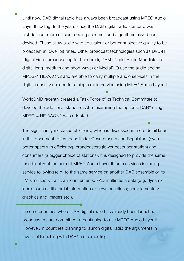Until now, DAB digital radio has always been broadcast using MPEG Audio Layer II coding. In the years since the DAB digital radio standard was first defined, more efficient coding schemes and algorithms have been devised. These allow audio with equivalent or better subjective quality to be broadcast at lower bit rates. Other broadcast technologies such as DVB-H (digital video broadcasting for handheld), DRM (Digital Radio Mondiale; i.e. digital long, medium and short wave) or MediaFLO use the audio coding MPEG-4 HE-AAC v2 and are able to carry multiple audio services in the digital capacity needed for a single radio service using MPEG Audio Layer II.

WorldDMB recently created a Task Force of its Technical Committee to develop the additional standard. After examining the options, DAB<sup>+</sup> using MPEG-4 HE-AAC v2 was adopted.

The significantly increased efficiency, which is discussed in more detail later in this document, offers benefits for Governments and Regulators (even better spectrum efficiency), broadcasters (lower costs per station) and consumers (a bigger choice of stations). It is designed to provide the same functionality of the current MPEG Audio Layer II radio services including service following (e.g. to the same service on another DAB ensemble or its FM simulcast), traffic announcements, PAD multimedia data (e.g. dynamic labels such as title artist information or news headlines; complementary graphics and images etc.).

In some countries where DAB digital radio has already been launched, broadcasters are committed to continuing to use MPEG Audio Layer II. However, in countries planning to launch digital radio the arguments in favour of launching with DAB<sup>+</sup> are compelling.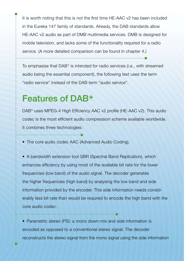It is worth noting that this is not the first time HE-AAC v2 has been included in the Eureka 147 family of standards. Already, the DAB standards allow HE-AAC v2 audio as part of DMB multimedia services. DMB is designed for mobile television, and lacks some of the functionality required for a radio service. (A more detailed comparison can be found in chapter 4.)

To emphasise that DAB<sup>+</sup> is intended for radio services (i.e., with streamed audio being the essential component), the following text uses the term "radio service" instead of the DAB term "audio service".

### Features of DAB+

DAB<sup>+</sup> uses MPEG-4 High Efficiency AAC v2 profile (HE-AAC v2). This audio codec is the most efficient audio compression scheme available worldwide. It combines three technologies:

• The core audio codec AAC (Advanced Audio Coding).

• A bandwidth extension tool SBR (Spectral Band Replication), which enhances efficiency by using most of the available bit rate for the lower frequencies (low band) of the audio signal. The decoder generates the higher frequencies (high band) by analysing the low band and side information provided by the encoder. This side information needs considerably less bit rate than would be required to encode the high band with the core audio codec.

• Parametric stereo (PS): a mono down-mix and side information is encoded as opposed to a conventional stereo signal. The decoder reconstructs the stereo signal from the mono signal using the side information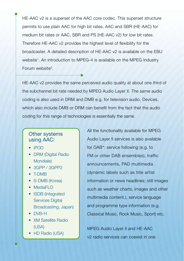HE-AAC v2 is a superset of the AAC core codec. This superset structure permits to use plain AAC for high bit rates, AAC and SBR (HE-AAC) for medium bit rates or AAC, SBR and PS (HE-AAC v2) for low bit rates. Therefore HE-AAC v2 provides the highest level of flexibility for the broadcaster. A detailed description of HE-AAC v2 is available on the EBU website<sup>1</sup>. An introduction to MPEG-4 is available on the MPEG Industry Forum website2.

HE-AAC v2 provides the same perceived audio quality at about one third of the subchannel bit rate needed by MPEG Audio Layer II. The same audio coding is also used in DRM and DMB e.g. for television audio. Devices, which also include DMB or DRM can benefit from the fact that the audio coding for this range of technologies is essentially the same.

#### Other systems using AAC:

- • iPOD
- DRM (Digital Radio Mondiale)
- 3GPP / 3GPP2
- T-DMB
- S-DMB (Korea)
- MediaFLO
- ISDB (Integrated Services Digital Broadcasting; Japan)
- DVB-H
- XM Satellite Radio (USA)
- HD Radio (USA)

All the functionality available for MPEG Audio Layer II services is also available for DAB<sup>+</sup>: service following (e.g. to FM or other DAB ensembles), traffic announcements, PAD multimedia (dynamic labels such as title artist information or news headlines; still images such as weather charts, images and other multimedia content.), service language and programme type information (e.g. Classical Music, Rock Music, Sport) etc.

MPEG Audio Layer II and HE-AAC v2 radio services can coexist in one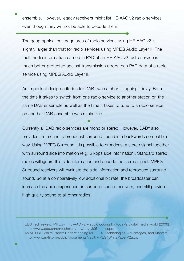ensemble. However, legacy receivers might list HE-AAC v2 radio services even though they will not be able to decode them.

The geographical coverage area of radio services using HE-AAC v2 is slightly larger than that for radio services using MPEG Audio Layer II. The multimedia information carried in PAD of an HE-AAC v2 radio service is much better protected against transmission errors than PAD data of a radio service using MPEG Audio Layer II.

An important design criterion for DAB<sup>+</sup> was a short "zapping" delay. Both the time it takes to switch from one radio service to another station on the same DAB ensemble as well as the time it takes to tune to a radio service on another DAB ensemble was minimized.

Currently all DAB radio services are mono or stereo. However, DAB<sup>+</sup> also provides the means to broadcast surround sound in a backwards compatible way. Using MPEG Surround it is possible to broadcast a stereo signal together with surround side information (e.g. 5 kbps side information). Standard stereo radios will ignore this side information and decode the stereo signal. MPEG Surround receivers will evaluate the side information and reproduce surround sound. So at a comparatively low additional bit rate, the broadcaster can increase the audio experience on surround sound receivers, and still provide high quality sound to all other radios.

<sup>&</sup>lt;sup>1</sup> EBU Tech review: MPEG-4 HE-AAC v2 – audio coding for today's digital media world (2006) http://www.ebu.ch/en/technical/trev/trev\_305-moser.pdf

<sup>2</sup> An MPEGIF White Paper: Understanding MPEG-4: Technologies, Advantages, and Markets http://www.m4if.org/public/documents/vault/MPEG4WhitePaperV2a.zip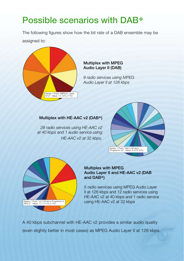### Possible scenarios with DAB+

The following figures show how the bit rate of a DAB ensemble may be assigned to:



#### Multiplex with MPEG Audio Layer II (DAB)

*9 radio services using MPEG Audio Layer II at 128 kbps*

#### Multiplex with HE-AAC v2 (DAB+)

*28 radio services using HE-AAC v2 at 40 kbps and 1 audio service using HE-AAC v2 at 32 kbps.* 





#### Multiplex with MPEG Audio Layer II and HE-AAC v2 (DAB and DAB+)

5 radio services using MPEG Audio Layer II at 128 kbps and 12 radio services using HE-AAC v2 at 40 kbps and 1 radio service using HE-AAC v2 at 32 kbps

A 40 kbps subchannel with HE-AAC v2 provides a similar audio quality (even slightly better in most cases) as MPEG Audio Layer II at 128 kbps.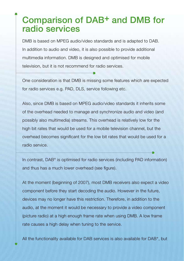### Comparison of DAB+ and DMB for radio services

DMB is based on MPEG audio/video standards and is adapted to DAB. In addition to audio and video, it is also possible to provide additional multimedia information. DMB is designed and optimised for mobile television, but it is not recommend for radio services.

One consideration is that DMB is missing some features which are expected for radio services e.g. PAD, DLS, service following etc.

Also, since DMB is based on MPEG audio/video standards it inherits some of the overhead needed to manage and synchronize audio and video (and possibly also multimedia) streams. This overhead is relatively low for the high bit rates that would be used for a mobile television channel, but the overhead becomes significant for the low bit rates that would be used for a radio service.

In contrast, DAB<sup>+</sup> is optimised for radio services (including PAD information) and thus has a much lower overhead (see figure).

At the moment (beginning of 2007), most DMB receivers also expect a video component before they start decoding the audio. However in the future, devices may no longer have this restriction. Therefore, in addition to the audio, at the moment it would be necessary to provide a video component (picture radio) at a high enough frame rate when using DMB. A low frame rate causes a high delay when tuning to the service.

All the functionality available for DAB services is also available for DAB<sup>+</sup>, but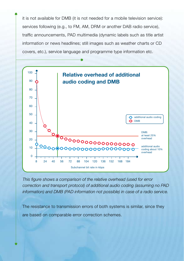it is not available for DMB (it is not needed for a mobile television service): services following (e.g., to FM, AM, DRM or another DAB radio service), traffic announcements, PAD multimedia (dynamic labels such as title artist information or news headlines; still images such as weather charts or CD covers, etc.), service language and programme type information etc.



*This figure shows a comparison of the relative overhead (used for error correction and transport protocol) of additional audio coding (assuming no PAD information) and DMB (PAD information not possible) in case of a radio service.*

The resistance to transmission errors of both systems is similar, since they are based on comparable error correction schemes.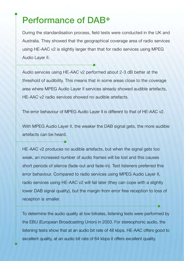### Performance of DAB+

During the standardisation process, field tests were conducted in the UK and Australia. They showed that the geographical coverage area of radio services using HE-AAC v2 is slightly larger than that for radio services using MPEG Audio Layer II.

Audio services using HE-AAC v2 performed about 2-3 dB better at the threshold of audibility. This means that in some areas close to the coverage area where MPEG Audio Layer II services already showed audible artefacts, HE-AAC v2 radio services showed no audible artefacts.

The error behaviour of MPEG Audio Layer II is different to that of HE-AAC v2.

With MPEG Audio Layer II, the weaker the DAB signal gets, the more audible artefacts can be heard.

HE-AAC v2 produces no audible artefacts, but when the signal gets too weak, an increased number of audio frames will be lost and this causes short periods of silence (fade-out and fade-in). Test listeners preferred this error behaviour. Compared to radio services using MPEG Audio Layer II, radio services using HE-AAC v2 will fail later (they can cope with a slightly lower DAB signal quality), but the margin from error free reception to loss of reception is smaller.

To determine the audio quality at low bitrates, listening tests were performed by the EBU (European Broadcasting Union) in 2003. For stereophonic audio, the listening tests show that at an audio bit rate of 48 kbps, HE-AAC offers good to excellent quality, at an audio bit rate of 64 kbps it offers excellent quality.